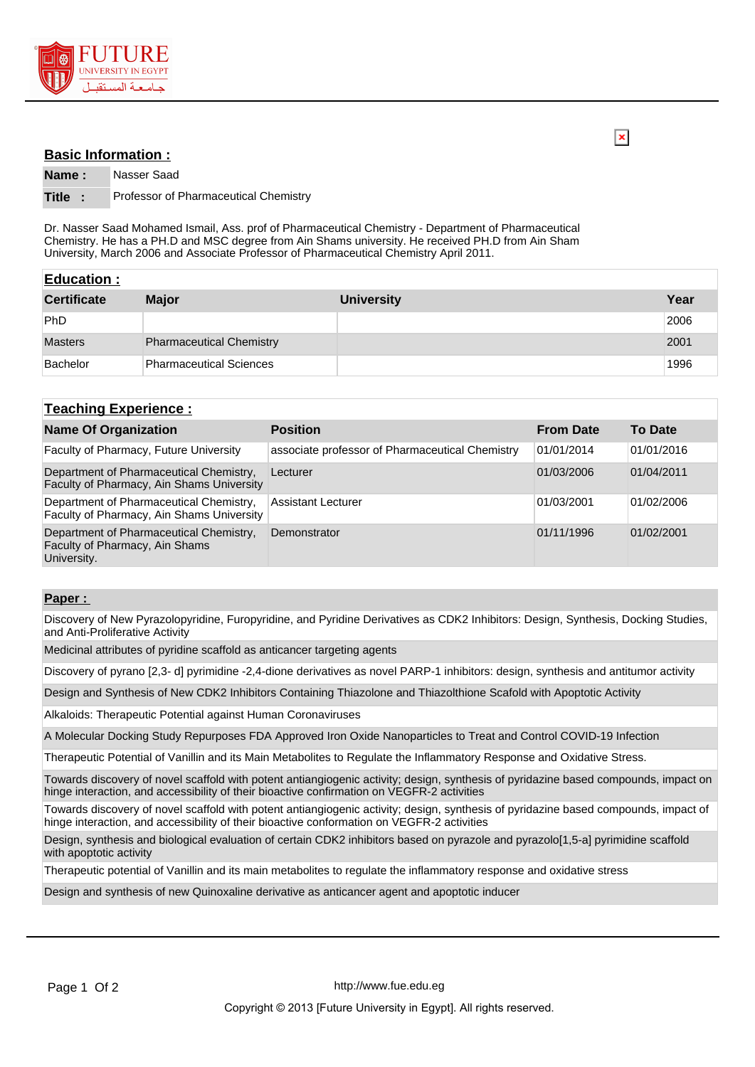

## **Basic Information :**

 $\overline{\mathbf{x}}$ 

**Name :** Nasser Saad

## **Title :** Professor of Pharmaceutical Chemistry

Dr. Nasser Saad Mohamed Ismail, Ass. prof of Pharmaceutical Chemistry - Department of Pharmaceutical Chemistry. He has a PH.D and MSC degree from Ain Shams university. He received PH.D from Ain Sham University, March 2006 and Associate Professor of Pharmaceutical Chemistry April 2011.

| <b>Education:</b>  |                                 |                   |      |
|--------------------|---------------------------------|-------------------|------|
| <b>Certificate</b> | <b>Major</b>                    | <b>University</b> | Year |
| <b>PhD</b>         |                                 |                   | 2006 |
| <b>Masters</b>     | <b>Pharmaceutical Chemistry</b> |                   | 2001 |
| Bachelor           | <b>Pharmaceutical Sciences</b>  |                   | 1996 |

## **Teaching Experience :**

| <b>Name Of Organization</b>                                                              | <b>Position</b>                                 | <b>From Date</b> | <b>To Date</b> |
|------------------------------------------------------------------------------------------|-------------------------------------------------|------------------|----------------|
| Faculty of Pharmacy, Future University                                                   | associate professor of Pharmaceutical Chemistry | 01/01/2014       | 01/01/2016     |
| Department of Pharmaceutical Chemistry,<br>Faculty of Pharmacy, Ain Shams University     | Lecturer                                        | 01/03/2006       | 01/04/2011     |
| Department of Pharmaceutical Chemistry,<br>Faculty of Pharmacy, Ain Shams University     | <b>Assistant Lecturer</b>                       | 01/03/2001       | 01/02/2006     |
| Department of Pharmaceutical Chemistry,<br>Faculty of Pharmacy, Ain Shams<br>University. | Demonstrator                                    | 01/11/1996       | 01/02/2001     |

## **Paper :**

Discovery of New Pyrazolopyridine, Furopyridine, and Pyridine Derivatives as CDK2 Inhibitors: Design, Synthesis, Docking Studies, and Anti-Proliferative Activity

Medicinal attributes of pyridine scaffold as anticancer targeting agents

Discovery of pyrano [2,3- d] pyrimidine -2,4-dione derivatives as novel PARP-1 inhibitors: design, synthesis and antitumor activity

Design and Synthesis of New CDK2 Inhibitors Containing Thiazolone and Thiazolthione Scafold with Apoptotic Activity

Alkaloids: Therapeutic Potential against Human Coronaviruses

A Molecular Docking Study Repurposes FDA Approved Iron Oxide Nanoparticles to Treat and Control COVID-19 Infection

Therapeutic Potential of Vanillin and its Main Metabolites to Regulate the Inflammatory Response and Oxidative Stress.

Towards discovery of novel scaffold with potent antiangiogenic activity; design, synthesis of pyridazine based compounds, impact on hinge interaction, and accessibility of their bioactive confirmation on VEGFR-2 activities

Towards discovery of novel scaffold with potent antiangiogenic activity; design, synthesis of pyridazine based compounds, impact of hinge interaction, and accessibility of their bioactive conformation on VEGFR-2 activities

Design, synthesis and biological evaluation of certain CDK2 inhibitors based on pyrazole and pyrazolo[1,5-a] pyrimidine scaffold with apoptotic activity

Therapeutic potential of Vanillin and its main metabolites to regulate the inflammatory response and oxidative stress

Design and synthesis of new Quinoxaline derivative as anticancer agent and apoptotic inducer